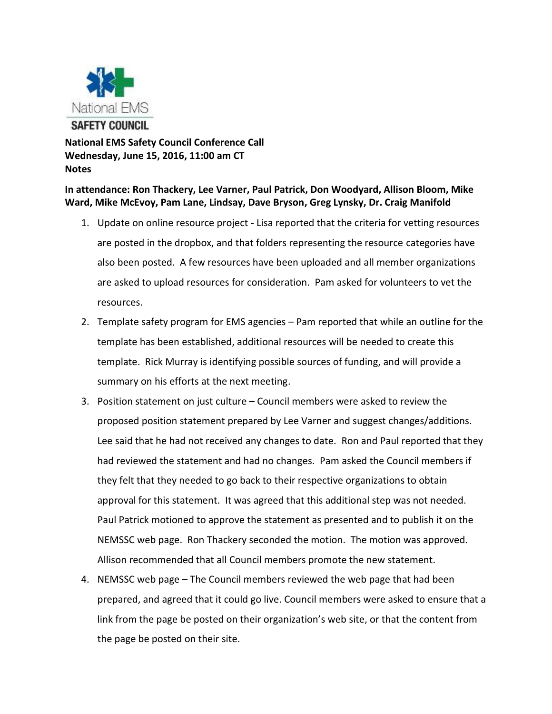

**National EMS Safety Council Conference Call Wednesday, June 15, 2016, 11:00 am CT Notes**

**In attendance: Ron Thackery, Lee Varner, Paul Patrick, Don Woodyard, Allison Bloom, Mike Ward, Mike McEvoy, Pam Lane, Lindsay, Dave Bryson, Greg Lynsky, Dr. Craig Manifold**

- 1. Update on online resource project Lisa reported that the criteria for vetting resources are posted in the dropbox, and that folders representing the resource categories have also been posted. A few resources have been uploaded and all member organizations are asked to upload resources for consideration. Pam asked for volunteers to vet the resources.
- 2. Template safety program for EMS agencies Pam reported that while an outline for the template has been established, additional resources will be needed to create this template. Rick Murray is identifying possible sources of funding, and will provide a summary on his efforts at the next meeting.
- 3. Position statement on just culture Council members were asked to review the proposed position statement prepared by Lee Varner and suggest changes/additions. Lee said that he had not received any changes to date. Ron and Paul reported that they had reviewed the statement and had no changes. Pam asked the Council members if they felt that they needed to go back to their respective organizations to obtain approval for this statement. It was agreed that this additional step was not needed. Paul Patrick motioned to approve the statement as presented and to publish it on the NEMSSC web page. Ron Thackery seconded the motion. The motion was approved. Allison recommended that all Council members promote the new statement.
- 4. NEMSSC web page The Council members reviewed the web page that had been prepared, and agreed that it could go live. Council members were asked to ensure that a link from the page be posted on their organization's web site, or that the content from the page be posted on their site.